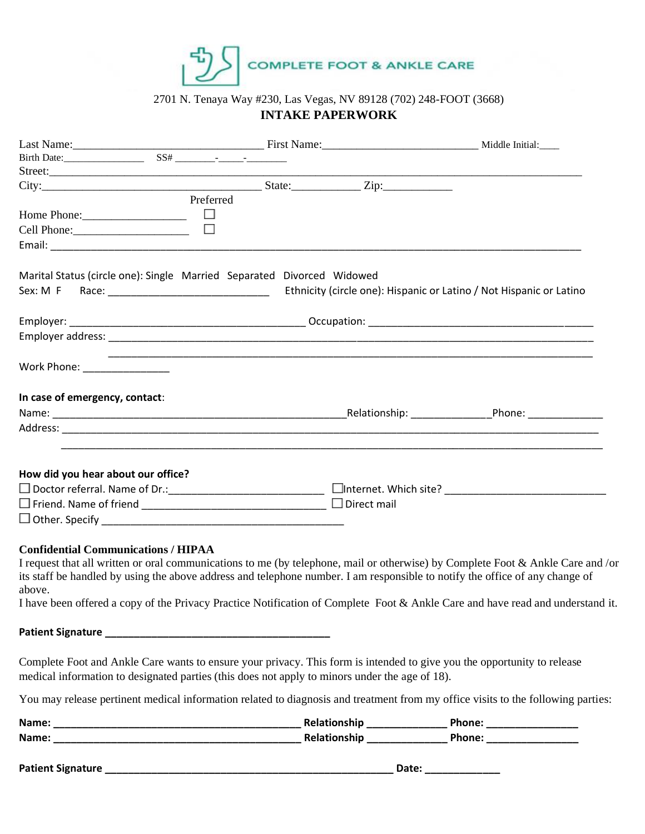

# 2701 N. Tenaya Way #230, Las Vegas, NV 89128 (702) 248-FOOT (3668) **INTAKE PAPERWORK**

|                                                                        | Preferred                                                                                                                                                                                                                 |                                                                                                                                                                                                                                                                   |
|------------------------------------------------------------------------|---------------------------------------------------------------------------------------------------------------------------------------------------------------------------------------------------------------------------|-------------------------------------------------------------------------------------------------------------------------------------------------------------------------------------------------------------------------------------------------------------------|
|                                                                        | $\Box$                                                                                                                                                                                                                    |                                                                                                                                                                                                                                                                   |
| Cell Phone: 2000                                                       | $\Box$                                                                                                                                                                                                                    |                                                                                                                                                                                                                                                                   |
|                                                                        |                                                                                                                                                                                                                           |                                                                                                                                                                                                                                                                   |
| Marital Status (circle one): Single Married Separated Divorced Widowed |                                                                                                                                                                                                                           |                                                                                                                                                                                                                                                                   |
|                                                                        |                                                                                                                                                                                                                           | Ethnicity (circle one): Hispanic or Latino / Not Hispanic or Latino                                                                                                                                                                                               |
|                                                                        |                                                                                                                                                                                                                           |                                                                                                                                                                                                                                                                   |
|                                                                        |                                                                                                                                                                                                                           |                                                                                                                                                                                                                                                                   |
| Work Phone: _______________                                            |                                                                                                                                                                                                                           |                                                                                                                                                                                                                                                                   |
| In case of emergency, contact:                                         |                                                                                                                                                                                                                           |                                                                                                                                                                                                                                                                   |
|                                                                        |                                                                                                                                                                                                                           |                                                                                                                                                                                                                                                                   |
|                                                                        |                                                                                                                                                                                                                           |                                                                                                                                                                                                                                                                   |
|                                                                        |                                                                                                                                                                                                                           |                                                                                                                                                                                                                                                                   |
| How did you hear about our office?                                     |                                                                                                                                                                                                                           |                                                                                                                                                                                                                                                                   |
|                                                                        |                                                                                                                                                                                                                           |                                                                                                                                                                                                                                                                   |
|                                                                        | $\Box$ Direct mail                                                                                                                                                                                                        |                                                                                                                                                                                                                                                                   |
|                                                                        |                                                                                                                                                                                                                           |                                                                                                                                                                                                                                                                   |
| <b>Confidential Communications / HIPAA</b><br>above.                   | its staff be handled by using the above address and telephone number. I am responsible to notify the office of any change of                                                                                              | I request that all written or oral communications to me (by telephone, mail or otherwise) by Complete Foot & Ankle Care and /or<br>I have been offered a copy of the Privacy Practice Notification of Complete Foot & Ankle Care and have read and understand it. |
|                                                                        |                                                                                                                                                                                                                           |                                                                                                                                                                                                                                                                   |
|                                                                        | Complete Foot and Ankle Care wants to ensure your privacy. This form is intended to give you the opportunity to release<br>medical information to designated parties (this does not apply to minors under the age of 18). |                                                                                                                                                                                                                                                                   |
|                                                                        | You may release pertinent medical information related to diagnosis and treatment from my office visits to the following parties:                                                                                          |                                                                                                                                                                                                                                                                   |

| Name:       | alatir | <b>Dhama</b> |
|-------------|--------|--------------|
| <b>Name</b> |        | Phone:       |

**Patient Signature \_\_\_\_\_\_\_\_\_\_\_\_\_\_\_\_\_\_\_\_\_\_\_\_\_\_\_\_\_\_\_\_\_\_\_\_\_\_\_\_\_\_\_\_\_\_\_\_\_\_ Date: \_\_\_\_\_\_\_\_\_\_\_\_\_**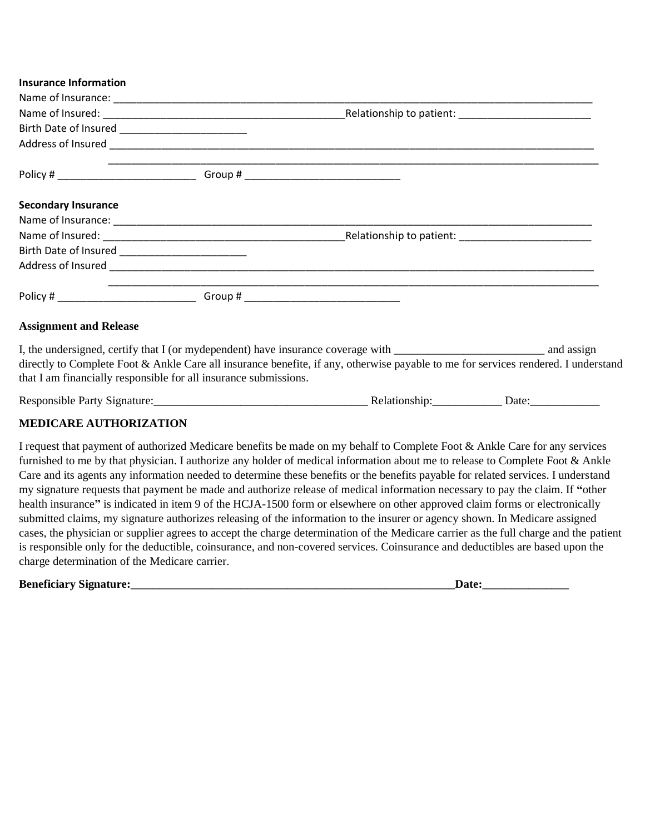## **Insurance Information**

| <b>Secondary Insurance</b>                                                       |                                                                                                                                    |  |
|----------------------------------------------------------------------------------|------------------------------------------------------------------------------------------------------------------------------------|--|
|                                                                                  |                                                                                                                                    |  |
|                                                                                  |                                                                                                                                    |  |
|                                                                                  |                                                                                                                                    |  |
|                                                                                  |                                                                                                                                    |  |
| Policy # __________________________________Group # _____________________________ | ,我们也不能在这里的,我们也不能在这里的,我们也不能在这里的,我们也不能不能在这里的。""我们,我们也不能不能不能不能不能不能不能不能不能不能不能不能不能不能不                                                   |  |
| <b>Assignment and Release</b>                                                    |                                                                                                                                    |  |
|                                                                                  |                                                                                                                                    |  |
|                                                                                  | directly to Complete Foot & Ankle Care all insurance benefite, if any, otherwise payable to me for services rendered. I understand |  |

that I am financially responsible for all insurance submissions.

Responsible Party Signature: example and the Relationship: example and Date:

## **MEDICARE AUTHORIZATION**

I request that payment of authorized Medicare benefits be made on my behalf to Complete Foot & Ankle Care for any services furnished to me by that physician. I authorize any holder of medical information about me to release to Complete Foot & Ankle Care and its agents any information needed to determine these benefits or the benefits payable for related services. I understand my signature requests that payment be made and authorize release of medical information necessary to pay the claim. If **"**other health insurance**"** is indicated in item 9 of the HCJA-1500 form or elsewhere on other approved claim forms or electronically submitted claims, my signature authorizes releasing of the information to the insurer or agency shown. In Medicare assigned cases, the physician or supplier agrees to accept the charge determination of the Medicare carrier as the full charge and the patient is responsible only for the deductible, coinsurance, and non-covered services. Coinsurance and deductibles are based upon the charge determination of the Medicare carrier.

| <b>Beneficiary Signature:</b> |  |
|-------------------------------|--|
|                               |  |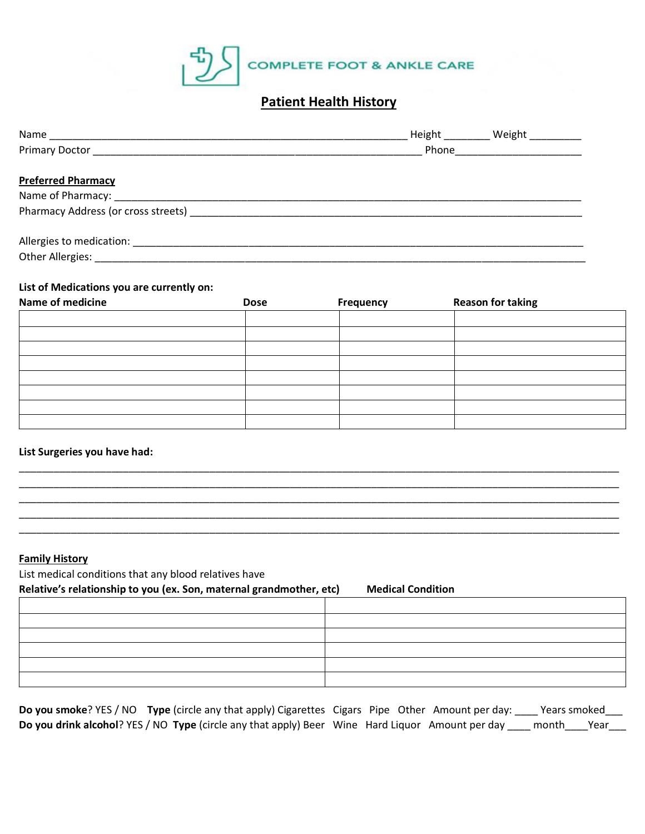

# **Patient Health History**

|                                                            | Height <b>Height</b> | Weight                                                                                                        |
|------------------------------------------------------------|----------------------|---------------------------------------------------------------------------------------------------------------|
|                                                            |                      | Phone and the contract of the contract of the contract of the contract of the contract of the contract of the |
| <b>Preferred Pharmacy</b>                                  |                      |                                                                                                               |
|                                                            |                      |                                                                                                               |
| Pharmacy Address (or cross streets) ______________________ |                      |                                                                                                               |
|                                                            |                      |                                                                                                               |
| Other Allergies: National Action of the Allergies:         |                      |                                                                                                               |

## **List of Medications you are currently on:**

| Name of medicine | <b>Dose</b> | Frequency | <b>Reason for taking</b> |  |
|------------------|-------------|-----------|--------------------------|--|
|                  |             |           |                          |  |
|                  |             |           |                          |  |
|                  |             |           |                          |  |
|                  |             |           |                          |  |
|                  |             |           |                          |  |
|                  |             |           |                          |  |
|                  |             |           |                          |  |
|                  |             |           |                          |  |

\_\_\_\_\_\_\_\_\_\_\_\_\_\_\_\_\_\_\_\_\_\_\_\_\_\_\_\_\_\_\_\_\_\_\_\_\_\_\_\_\_\_\_\_\_\_\_\_\_\_\_\_\_\_\_\_\_\_\_\_\_\_\_\_\_\_\_\_\_\_\_\_\_\_\_\_\_\_\_\_\_\_\_\_\_\_\_\_\_\_\_\_\_\_\_\_\_\_\_\_\_\_\_\_ \_\_\_\_\_\_\_\_\_\_\_\_\_\_\_\_\_\_\_\_\_\_\_\_\_\_\_\_\_\_\_\_\_\_\_\_\_\_\_\_\_\_\_\_\_\_\_\_\_\_\_\_\_\_\_\_\_\_\_\_\_\_\_\_\_\_\_\_\_\_\_\_\_\_\_\_\_\_\_\_\_\_\_\_\_\_\_\_\_\_\_\_\_\_\_\_\_\_\_\_\_\_\_\_ \_\_\_\_\_\_\_\_\_\_\_\_\_\_\_\_\_\_\_\_\_\_\_\_\_\_\_\_\_\_\_\_\_\_\_\_\_\_\_\_\_\_\_\_\_\_\_\_\_\_\_\_\_\_\_\_\_\_\_\_\_\_\_\_\_\_\_\_\_\_\_\_\_\_\_\_\_\_\_\_\_\_\_\_\_\_\_\_\_\_\_\_\_\_\_\_\_\_\_\_\_\_\_\_ \_\_\_\_\_\_\_\_\_\_\_\_\_\_\_\_\_\_\_\_\_\_\_\_\_\_\_\_\_\_\_\_\_\_\_\_\_\_\_\_\_\_\_\_\_\_\_\_\_\_\_\_\_\_\_\_\_\_\_\_\_\_\_\_\_\_\_\_\_\_\_\_\_\_\_\_\_\_\_\_\_\_\_\_\_\_\_\_\_\_\_\_\_\_\_\_\_\_\_\_\_\_\_\_ \_\_\_\_\_\_\_\_\_\_\_\_\_\_\_\_\_\_\_\_\_\_\_\_\_\_\_\_\_\_\_\_\_\_\_\_\_\_\_\_\_\_\_\_\_\_\_\_\_\_\_\_\_\_\_\_\_\_\_\_\_\_\_\_\_\_\_\_\_\_\_\_\_\_\_\_\_\_\_\_\_\_\_\_\_\_\_\_\_\_\_\_\_\_\_\_\_\_\_\_\_\_\_\_

## **List Surgeries you have had:**

## **Family History**

List medical conditions that any blood relatives have

**Relative's relationship to you (ex. Son, maternal grandmother, etc) Medical Condition**

**Do you smoke**? YES / NO **Type** (circle any that apply) Cigarettes Cigars Pipe Other Amount per day: \_\_\_\_ Years smoked\_\_\_ **Do you drink alcohol**? YES / NO **Type** (circle any that apply) Beer Wine Hard Liquor Amount per day \_\_\_\_ month\_\_\_\_Year\_\_\_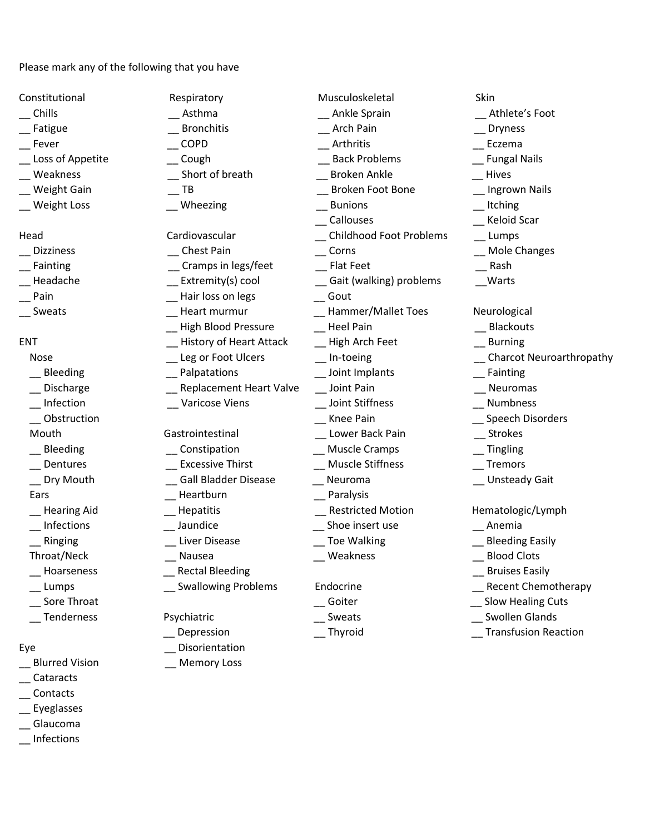Please mark any of the following that you have

- 
- 
- 
- 
- $\equiv$  Weakness
- 
- $\equiv$  Weight Loss  $\equiv$

- 
- $\equiv$  Fainting
- $\equiv$  Headache
- $\equiv$  Pain
- 

- $\_$  Bleeding
- $\equiv$  Discharge
- $\equiv$  Infection
- 

- $\equiv$  Bleeding
- $\equiv$  Dentures
- 
- 
- 
- $\overline{\phantom{a}}$  Infections
- 
- Throat/Neck \_\_ Nausea \_\_ Weakness \_\_ Blood Clots
- 
- 
- 
- 

- \_\_ Blurred Vision \_\_ Memory Loss
- \_\_ Cataracts
- \_\_ Contacts
- \_\_ Eyeglasses
- \_\_ Glaucoma
- \_\_ Infections

| Constitutional     | Respiratory                    | Musculoskeletal                | Skin                            |
|--------------------|--------------------------------|--------------------------------|---------------------------------|
| Chills             | Asthma                         | Ankle Sprain                   | Athlete's Foot                  |
| Fatigue            | <b>Bronchitis</b>              | Arch Pain                      | <b>Dryness</b>                  |
| Fever              | COPD                           | Arthritis                      | Eczema                          |
| Loss of Appetite   | $\qquad$ Cough                 | <b>Back Problems</b>           | <b>Fungal Nails</b>             |
| Weakness           | Short of breath                | <b>Broken Ankle</b>            | Hives                           |
| Weight Gain        | TB                             | <b>Broken Foot Bone</b>        | <b>Ingrown Nails</b>            |
| <b>Weight Loss</b> | Wheezing                       | <b>Bunions</b>                 | Itching                         |
|                    |                                | Callouses                      | Keloid Scar                     |
| Head               | Cardiovascular                 | <b>Childhood Foot Problems</b> | Lumps                           |
| <b>Dizziness</b>   | _ Chest Pain                   | Corns                          | <b>Mole Changes</b>             |
| Fainting           | Cramps in legs/feet            | <b>Flat Feet</b>               | Rash                            |
| Headache           | _ Extremity(s) cool            | _ Gait (walking) problems      | Warts                           |
| Pain               | Hair loss on legs              | Gout                           |                                 |
| Sweats             | Heart murmur                   | Hammer/Mallet Toes             | Neurological                    |
|                    | <b>High Blood Pressure</b>     | <b>Heel Pain</b>               | <b>Blackouts</b>                |
| <b>ENT</b>         | <b>History of Heart Attack</b> | High Arch Feet                 | <b>Burning</b>                  |
| Nose               | Leg or Foot Ulcers             | In-toeing                      | <b>Charcot Neuroarthropathy</b> |
| Bleeding           | Palpatations                   | Joint Implants                 | Fainting                        |
| Discharge          | <b>Replacement Heart Valve</b> | Joint Pain                     | Neuromas                        |
| Infection          | _ Varicose Viens               | Joint Stiffness                | Numbness                        |
| Obstruction        |                                | Knee Pain                      | Speech Disorders                |
| Mouth              | Gastrointestinal               | Lower Back Pain                | Strokes                         |
| Bleeding           | Constipation                   | <b>Muscle Cramps</b>           | Tingling                        |
| Dentures           | <b>Excessive Thirst</b>        | <b>Muscle Stiffness</b>        | Tremors                         |
| Dry Mouth          | <b>Gall Bladder Disease</b>    | Neuroma                        | <b>Unsteady Gait</b>            |
| Ears               | Heartburn                      | Paralysis                      |                                 |
| <b>Hearing Aid</b> | Hepatitis                      | <b>Restricted Motion</b>       | Hematologic/Lymph               |
| Infections         | Jaundice                       | Shoe insert use                | Anemia                          |
| Ringing            | Liver Disease                  | <b>Toe Walking</b>             | <b>Bleeding Easily</b>          |
| Throat/Neck        | Nausea                         | Weakness                       | <b>Blood Clots</b>              |
| Hoarseness         | <b>Rectal Bleeding</b>         |                                | <b>Bruises Easily</b>           |
| Lumps              | <b>Swallowing Problems</b>     | Endocrine                      | <b>Recent Chemotherapy</b>      |
| Sore Throat        |                                | Goiter                         | Slow Healing Cuts               |
| _Tenderness        | Psychiatric                    | Sweats                         | _ Swollen Glands                |
|                    |                                |                                |                                 |

- 
- 
- 
- 
- \_\_ Depression \_\_ Thyroid \_\_ Transfusion Reaction
	-
- 
- -
	-
	-
	-
	-
	-
	-
- 
- 
- 
- 
- 
- 
- Eye \_\_\_\_\_\_\_\_\_\_\_\_\_\_\_\_\_\_\_\_\_\_\_\_\_\_\_Disorientation
- 
- 
-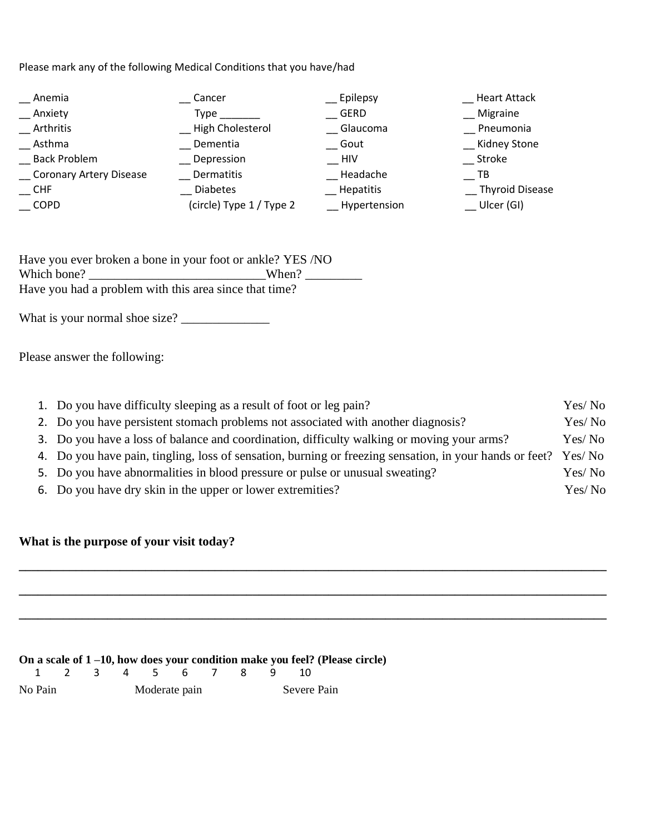Please mark any of the following Medical Conditions that you have/had

| Anemia                         | Cancer                   | __ Epilepsy      | <b>Heart Attack</b>    |
|--------------------------------|--------------------------|------------------|------------------------|
| Anxiety                        | Type                     | GERD             | Migraine               |
| Arthritis                      | High Cholesterol         | Glaucoma         | Pneumonia              |
| Asthma                         | Dementia                 | Gout             | <b>Kidney Stone</b>    |
| <b>Back Problem</b>            | Depression               | HIV              | Stroke                 |
| <b>Coronary Artery Disease</b> | Dermatitis               | Headache         | ΤВ                     |
| <b>CHF</b>                     | <b>Diabetes</b>          | <b>Hepatitis</b> | <b>Thyroid Disease</b> |
| <b>COPD</b>                    | (circle) Type 1 / Type 2 | Hypertension     | Ulcer (GI)             |

| Have you ever broken a bone in your foot or ankle? YES /NO |       |
|------------------------------------------------------------|-------|
| Which bone?                                                | When? |
| Have you had a problem with this area since that time?     |       |

What is your normal shoe size? \_\_\_\_\_\_\_\_\_\_\_\_\_\_

Please answer the following:

| 1. Do you have difficulty sleeping as a result of foot or leg pain?                                            | Yes/ No |
|----------------------------------------------------------------------------------------------------------------|---------|
| 2. Do you have persistent stomach problems not associated with another diagnosis?                              | Yes/No  |
| 3. Do you have a loss of balance and coordination, difficulty walking or moving your arms?                     | Yes/ No |
| 4. Do you have pain, tingling, loss of sensation, burning or freezing sensation, in your hands or feet? Yes/No |         |
| 5. Do you have abnormalities in blood pressure or pulse or unusual sweating?                                   | Yes/ No |
| 6. Do you have dry skin in the upper or lower extremities?                                                     | Yes/No  |

**\_\_\_\_\_\_\_\_\_\_\_\_\_\_\_\_\_\_\_\_\_\_\_\_\_\_\_\_\_\_\_\_\_\_\_\_\_\_\_\_\_\_\_\_\_\_\_\_\_\_\_\_\_\_\_\_\_\_\_\_\_\_\_\_\_\_\_\_\_\_\_\_\_\_\_\_\_\_\_\_\_\_\_\_\_\_\_\_\_\_\_\_\_**

**\_\_\_\_\_\_\_\_\_\_\_\_\_\_\_\_\_\_\_\_\_\_\_\_\_\_\_\_\_\_\_\_\_\_\_\_\_\_\_\_\_\_\_\_\_\_\_\_\_\_\_\_\_\_\_\_\_\_\_\_\_\_\_\_\_\_\_\_\_\_\_\_\_\_\_\_\_\_\_\_\_\_\_\_\_\_\_\_\_\_\_\_\_**

**\_\_\_\_\_\_\_\_\_\_\_\_\_\_\_\_\_\_\_\_\_\_\_\_\_\_\_\_\_\_\_\_\_\_\_\_\_\_\_\_\_\_\_\_\_\_\_\_\_\_\_\_\_\_\_\_\_\_\_\_\_\_\_\_\_\_\_\_\_\_\_\_\_\_\_\_\_\_\_\_\_\_\_\_\_\_\_\_\_\_\_\_\_**

# **What is the purpose of your visit today?**

**On a scale of 1 –10, how does your condition make you feel? (Please circle)**

|         |  | 2 3 4 5 6 7 8 9 |               |  |  |             |  |
|---------|--|-----------------|---------------|--|--|-------------|--|
| No Pain |  |                 | Moderate pain |  |  | Severe Pain |  |